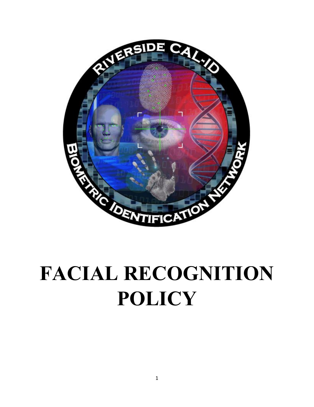

# **FACIAL RECOGNITION POLICY**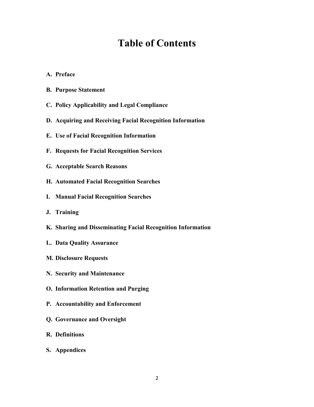# **Table of Contents**

- **A. Preface**
- **B. Purpose Statement**
- **C. Policy Applicability and Legal Compliance**
- **D. Acquiring and Receiving Facial Recognition Information**
- **E. Use of Facial Recognition Information**
- **F. Requests for Facial Recognition Services**
- **G. Acceptable Search Reasons**
- **H. Automated Facial Recognition Searches**
- **I. Manual Facial Recognition Searches**
- **J. Training**
- **K. Sharing and Disseminating Facial Recognition Information**
- **L. Data Quality Assurance**
- **M. Disclosure Requests**
- **N. Security and Maintenance**
- **O. Information Retention and Purging**
- **P. Accountability and Enforcement**
- **Q. Governance and Oversight**
- **R. Definitions**
- **S. Appendices**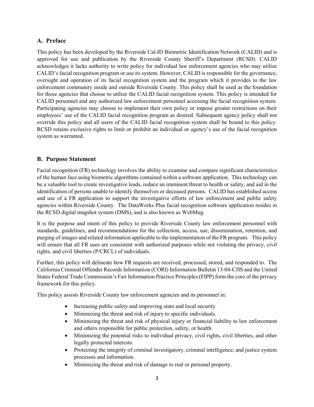# **A. Preface**

This policy has been developed by the Riverside Cal-ID Biometric Identification Network (CALID) and is approved for use and publication by the Riverside County Sheriff's Department (RCSD). CALID acknowledges it lacks authority to write policy for individual law enforcement agencies who may utilize CALID's facial recognition program or use its system. However, CALID is responsible for the governance, oversight and operation of its facial recognition system and the program which it provides to the law enforcement community inside and outside Riverside County. This policy shall be used as the foundation for those agencies that choose to utilize the CALID facial recognition system. This policy is intended for CALID personnel and any authorized law enforcement personnel accessing the facial recognition system. Participating agencies may choose to implement their own policy or impose greater restrictions on their employees' use of the CALID facial recognition program as desired. Subsequent agency policy shall not override this policy and all users of the CALID facial recognition system shall be bound to this policy. RCSD retains exclusive rights to limit or prohibit an individual or agency's use of the facial recognition system as warranted.

## **B. Purpose Statement**

Facial recognition (FR) technology involves the ability to examine and compare significant characteristics of the human face using biometric algorithms contained within a software application. This technology can be a valuable tool to create investigative leads, reduce an imminent threat to health or safety, and aid in the identification of persons unable to identify themselves or deceased persons. CALID has established access and use of a FR application to support the investigative efforts of law enforcement and public safety agencies within Riverside County. The DataWorks Plus facial recognition software application resides in the RCSD digital mugshot system (DMS), and is also known as WebMug.

It is the purpose and intent of this policy to provide Riverside County law enforcement personnel with standards, guidelines, and recommendations for the collection, access, use, dissemination, retention, and purging of images and related information applicable to the implementation of the FR program. This policy will ensure that all FR uses are consistent with authorized purposes while not violating the privacy, civil rights, and civil liberties (P/CRCL) of individuals.

Further, this policy will delineate how FR requests are received, processed, stored, and responded to. The California Criminal Offender Records Information (CORI) Information Bulletin 13-04-CJIS and the United States Federal Trade Commission's Fair Information Practice Principles (FIPP) form the core of the privacy framework for this policy.

This policy assists Riverside County law enforcement agencies and its personnel in:

- Increasing public safety and improving state and local security.
- Minimizing the threat and risk of injury to specific individuals.
- Minimizing the threat and risk of physical injury or financial liability to law enforcement and others responsible for public protection, safety, or health.
- Minimizing the potential risks to individual privacy, civil rights, civil liberties, and other legally protected interests.
- Protecting the integrity of criminal investigatory, criminal intelligence, and justice system processes and information.
- Minimizing the threat and risk of damage to real or personal property.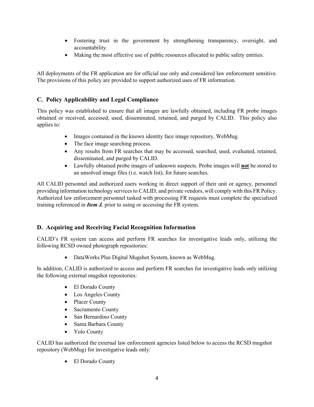- Fostering trust in the government by strengthening transparency, oversight, and accountability.
- Making the most effective use of public resources allocated to public safety entities.

All deployments of the FR application are for official use only and considered law enforcement sensitive. The provisions of this policy are provided to support authorized uses of FR information.

# **C. Policy Applicability and Legal Compliance**

This policy was established to ensure that all images are lawfully obtained, including FR probe images obtained or received, accessed, used, disseminated, retained, and purged by CALID. This policy also applies to:

- Images contained in the known identity face image repository, WebMug.
- The face image searching process.
- Any results from FR searches that may be accessed, searched, used, evaluated, retained, disseminated, and purged by CALID.
- Lawfully obtained probe images of unknown suspects. Probe images will **not** be stored to an unsolved image files (i.e. watch list), for future searches.

All CALID personnel and authorized users working in direct support of their unit or agency, personnel providing information technology services to CALID, and private vendors, will comply with this FR Policy. Authorized law enforcement personnel tasked with processing FR requests must complete the specialized training referenced in *Item J.* prior to using or accessing the FR system.

# **D. Acquiring and Receiving Facial Recognition Information**

CALID's FR system can access and perform FR searches for investigative leads only, utilizing the following RCSD owned photograph repositories:

• DataWorks Plus Digital Mugshot System, known as WebMug.

In addition, CALID is authorized to access and perform FR searches for investigative leads only utilizing the following external mugshot repositories:

- El Dorado County
- Los Angeles County
- Placer County
- Sacramento County
- San Bernardino County
- Santa Barbara County
- Yolo County

CALID has authorized the external law enforcement agencies listed below to access the RCSD mugshot repository (WebMug) for investigative leads only:

• El Dorado County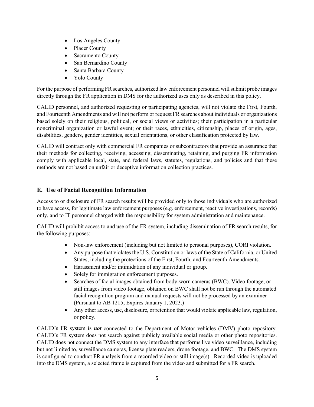- Los Angeles County
- Placer County
- Sacramento County
- San Bernardino County
- Santa Barbara County
- Yolo County

For the purpose of performing FR searches, authorized law enforcement personnel will submit probe images directly through the FR application in DMS for the authorized uses only as described in this policy.

CALID personnel, and authorized requesting or participating agencies, will not violate the First, Fourth, and Fourteenth Amendments and will not perform or request FR searches about individuals or organizations based solely on their religious, political, or social views or activities; their participation in a particular noncriminal organization or lawful event; or their races, ethnicities, citizenship, places of origin, ages, disabilities, genders, gender identities, sexual orientations, or other classification protected by law.

CALID will contract only with commercial FR companies or subcontractors that provide an assurance that their methods for collecting, receiving, accessing, disseminating, retaining, and purging FR information comply with applicable local, state, and federal laws, statutes, regulations, and policies and that these methods are not based on unfair or deceptive information collection practices.

# **E. Use of Facial Recognition Information**

Access to or disclosure of FR search results will be provided only to those individuals who are authorized to have access, for legitimate law enforcement purposes (e.g. enforcement, reactive investigations, records) only, and to IT personnel charged with the responsibility for system administration and maintenance.

CALID will prohibit access to and use of the FR system, including dissemination of FR search results, for the following purposes:

- Non-law enforcement (including but not limited to personal purposes), CORI violation.
- Any purpose that violates the U.S. Constitution or laws of the State of California, or United States, including the protections of the First, Fourth, and Fourteenth Amendments.
- Harassment and/or intimidation of any individual or group.
- Solely for immigration enforcement purposes.
- Searches of facial images obtained from body-worn cameras (BWC). Video footage, or still images from video footage, obtained on BWC shall not be run through the automated facial recognition program and manual requests will not be processed by an examiner (Pursuant to AB 1215; Expires January 1, 2023.)
- Any other access, use, disclosure, or retention that would violate applicable law, regulation, or policy.

CALID's FR system is *not* connected to the Department of Motor vehicles (DMV) photo repository. CALID's FR system does not search against publicly available social media or other photo repositories. CALID does not connect the DMS system to any interface that performs live video surveillance, including but not limited to, surveillance cameras, license plate readers, drone footage, and BWC. The DMS system is configured to conduct FR analysis from a recorded video or still image(s). Recorded video is uploaded into the DMS system, a selected frame is captured from the video and submitted for a FR search.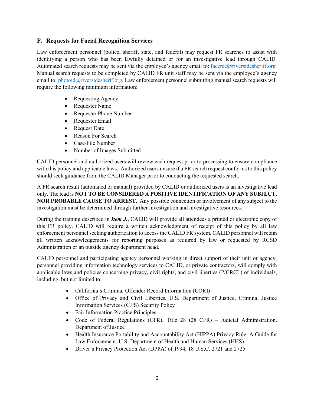# **F. Requests for Facial Recognition Services**

Law enforcement personnel (police, sheriff, state, and federal) may request FR searches to assist with identifying a person who has been lawfully detained or for an investigative lead through CALID. Automated search requests may be sent via the employee's agency email to: facerec@riversidesheriff.org. Manual search requests to be completed by CALID FR unit staff may be sent via the employee's agency email to: [photoid@riversidesherif.org.](mailto:photoid@riversidesherif.org) Law enforcement personnel submitting manual search requests will require the following minimum information:

- Requesting Agency
- Requester Name
- Requester Phone Number
- Requester Email
- Request Date
- Reason For Search
- Case/File Number
- Number of Images Submitted

CALID personnel and authorized users will review each request prior to processing to ensure compliance with this policy and applicable laws. Authorized users unsure if a FR search request conforms to this policy should seek guidance from the CALID Manager prior to conducting the requested search.

A FR search result (automated or manual) provided by CALID or authorized users is an investigative lead only. The lead is **NOT TO BE CONSIDERED A POSITIVE IDENTIFICATION OF ANY SUBJECT, NOR PROBABLE CAUSE TO ARREST.** Any possible connection or involvement of any subject to the investigation must be determined through further investigation and investigative resources.

During the training described in *Item J.*, CALID will provide all attendees a printed or electronic copy of this FR policy. CALID will require a written acknowledgment of receipt of this policy by all law enforcement personnel seeking authorization to access the CALID FR system. CALID personnel will retain all written acknowledgements for reporting purposes as required by law or requested by RCSD Administration or an outside agency department head.

CALID personnel and participating agency personnel working in direct support of their unit or agency, personnel providing information technology services to CALID, or private contractors, will comply with applicable laws and policies concerning privacy, civil rights, and civil liberties (P/CRCL) of individuals, including, but not limited to:

- California's Criminal Offender Record Information (CORI)
- Office of Privacy and Civil Liberties, U.S. Department of Justice, Criminal Justice Information Services (CJIS) Security Policy
- Fair Information Practice Principles
- Code of Federal Regulations (CFR), Title 28 (28 CFR) Judicial Administration, Department of Justice
- Health Insurance Portability and Accountability Act (HIPPA) Privacy Rule: A Guide for Law Enforcement, U.S. Department of Health and Human Services (HHS)
- Driver's Privacy Protection Act (DPPA) of 1994, 18 U.S.C. 2721 and 2725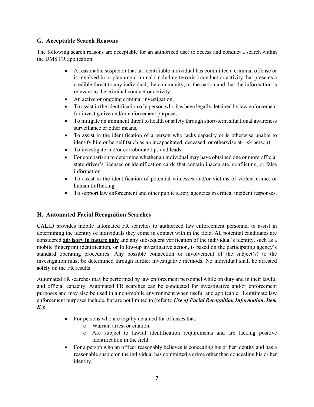# **G. Acceptable Search Reasons**

The following search reasons are acceptable for an authorized user to access and conduct a search within the DMS FR application:

- A reasonable suspicion that an identifiable individual has committed a criminal offense or is involved in or planning criminal (including terrorist) conduct or activity that presents a credible threat to any individual, the community, or the nation and that the information is relevant to the criminal conduct or activity.
- An active or ongoing criminal investigation.
- To assist in the identification of a person who has been legally detained by law enforcement for investigative and/or enforcement purposes.
- To mitigate an imminent threat to health or safety through short-term situational awareness surveillance or other means.
- To assist in the identification of a person who lacks capacity or is otherwise unable to identify him or herself (such as an incapacitated, deceased, or otherwise at-risk person).
- To investigate and/or corroborate tips and leads.
- For comparison to determine whether an individual may have obtained one or more official state driver's licenses or identification cards that contain inaccurate, conflicting, or false information.
- To assist in the identification of potential witnesses and/or victims of violent crime, or human trafficking.
- To support law enforcement and other public safety agencies in critical incident responses.

# **H. Automated Facial Recognition Searches**

CALID provides mobile automated FR searches to authorized law enforcement personnel to assist in determining the identity of individuals they come in contact with in the field. All potential candidates are considered **advisory in nature only** and any subsequent verification of the individual's identity, such as a mobile fingerprint identification, or follow-up investigative action, is based on the participating agency's standard operating procedures. Any possible connection or involvement of the subject(s) to the investigation must be determined through further investigative methods. No individual shall be arrested **solely** on the FR results.

Automated FR searches may be performed by law enforcement personnel while on duty and in their lawful and official capacity. Automated FR searches can be conducted for investigative and/or enforcement purposes and may also be used in a non-mobile environment when useful and applicable. Legitimate law enforcement purposes include, but are not limited to (refer to *Use of Facial Recognition Information, Item E.*):

- For persons who are legally detained for offenses that:
	- o Warrant arrest or citation.
	- o Are subject to lawful identification requirements and are lacking positive identification in the field.
- For a person who an officer reasonably believes is concealing his or her identity and has a reasonable suspicion the individual has committed a crime other than concealing his or her identity.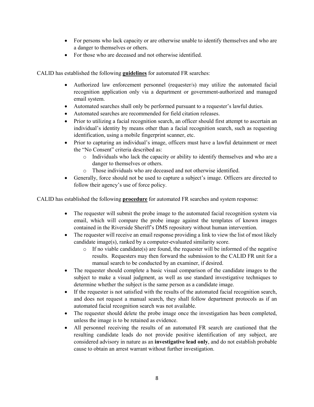- For persons who lack capacity or are otherwise unable to identify themselves and who are a danger to themselves or others.
- For those who are deceased and not otherwise identified.

CALID has established the following **guidelines** for automated FR searches:

- Authorized law enforcement personnel (requester/s) may utilize the automated facial recognition application only via a department or government-authorized and managed email system.
- Automated searches shall only be performed pursuant to a requester's lawful duties.
- Automated searches are recommended for field citation releases.
- Prior to utilizing a facial recognition search, an officer should first attempt to ascertain an individual's identity by means other than a facial recognition search, such as requesting identification, using a mobile fingerprint scanner, etc.
- Prior to capturing an individual's image, officers must have a lawful detainment or meet the "No Consent" criteria described as:
	- o Individuals who lack the capacity or ability to identify themselves and who are a danger to themselves or others.
	- o Those individuals who are deceased and not otherwise identified.
- Generally, force should not be used to capture a subject's image. Officers are directed to follow their agency's use of force policy.

CALID has established the following **procedure** for automated FR searches and system response:

- The requester will submit the probe image to the automated facial recognition system via email, which will compare the probe image against the templates of known images contained in the Riverside Sheriff's DMS repository without human intervention.
- The requester will receive an email response providing a link to view the list of most likely candidate image(s), ranked by a computer-evaluated similarity score.
	- $\circ$  If no viable candidate(s) are found, the requester will be informed of the negative results. Requesters may then forward the submission to the CALID FR unit for a manual search to be conducted by an examiner, if desired.
- The requester should complete a basic visual comparison of the candidate images to the subject to make a visual judgment, as well as use standard investigative techniques to determine whether the subject is the same person as a candidate image.
- If the requester is not satisfied with the results of the automated facial recognition search, and does not request a manual search, they shall follow department protocols as if an automated facial recognition search was not available.
- The requester should delete the probe image once the investigation has been completed, unless the image is to be retained as evidence.
- All personnel receiving the results of an automated FR search are cautioned that the resulting candidate leads do not provide positive identification of any subject, are considered advisory in nature as an **investigative lead only**, and do not establish probable cause to obtain an arrest warrant without further investigation.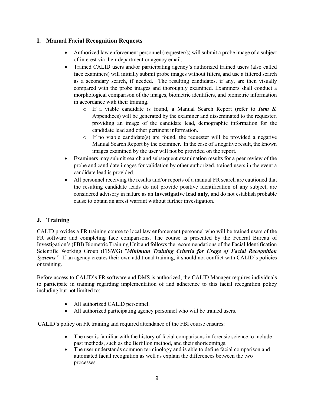# **I. Manual Facial Recognition Requests**

- Authorized law enforcement personnel (requester/s) will submit a probe image of a subject of interest via their department or agency email.
- Trained CALID users and/or participating agency's authorized trained users (also called face examiners) will initially submit probe images without filters, and use a filtered search as a secondary search, if needed. The resulting candidates, if any, are then visually compared with the probe images and thoroughly examined. Examiners shall conduct a morphological comparison of the images, biometric identifiers, and biometric information in accordance with their training.
	- o If a viable candidate is found, a Manual Search Report (refer to *Item S.* Appendices) will be generated by the examiner and disseminated to the requester, providing an image of the candidate lead, demographic information for the candidate lead and other pertinent information.
	- $\circ$  If no viable candidate(s) are found, the requester will be provided a negative Manual Search Report by the examiner. In the case of a negative result, the known images examined by the user will not be provided on the report.
- Examiners may submit search and subsequent examination results for a peer review of the probe and candidate images for validation by other authorized, trained users in the event a candidate lead is provided.
- All personnel receiving the results and/or reports of a manual FR search are cautioned that the resulting candidate leads do not provide positive identification of any subject, are considered advisory in nature as an **investigative lead only**, and do not establish probable cause to obtain an arrest warrant without further investigation.

# **J. Training**

CALID provides a FR training course to local law enforcement personnel who will be trained users of the FR software and completing face comparisons. The course is presented by the Federal Bureau of Investigation's (FBI) Biometric Training Unit and follows the recommendations of the Facial Identification Scientific Working Group (FISWG) "*Minimum Training Criteria for Usage of Facial Recognition Systems*." If an agency creates their own additional training, it should not conflict with CALID's policies or training.

Before access to CALID's FR software and DMS is authorized, the CALID Manager requires individuals to participate in training regarding implementation of and adherence to this facial recognition policy including but not limited to:

- All authorized CALID personnel.
- All authorized participating agency personnel who will be trained users.

CALID's policy on FR training and required attendance of the FBI course ensures:

- The user is familiar with the history of facial comparisons in forensic science to include past methods, such as the Bertillon method, and their shortcomings.
- The user understands common terminology and is able to define facial comparison and automated facial recognition as well as explain the differences between the two processes.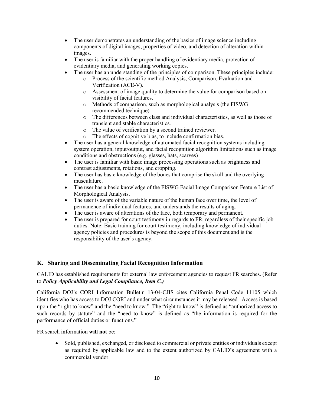- The user demonstrates an understanding of the basics of image science including components of digital images, properties of video, and detection of alteration within images.
- The user is familiar with the proper handling of evidentiary media, protection of evidentiary media, and generating working copies.
- The user has an understanding of the principles of comparison. These principles include:
	- o Process of the scientific method Analysis, Comparison, Evaluation and Verification (ACE-V).
	- o Assessment of image quality to determine the value for comparison based on visibility of facial features.
	- o Methods of comparison, such as morphological analysis (the FISWG recommended technique)
	- o The differences between class and individual characteristics, as well as those of transient and stable characteristics.
	- o The value of verification by a second trained reviewer.
	- o The effects of cognitive bias, to include confirmation bias.
- The user has a general knowledge of automated facial recognition systems including system operation, input/output, and facial recognition algorithm limitations such as image conditions and obstructions (e.g. glasses, hats, scarves)
- The user is familiar with basic image processing operations such as brightness and contrast adjustments, rotations, and cropping.
- The user has basic knowledge of the bones that comprise the skull and the overlying musculature.
- The user has a basic knowledge of the FISWG Facial Image Comparison Feature List of Morphological Analysis.
- The user is aware of the variable nature of the human face over time, the level of permanence of individual features, and understands the results of aging.
- The user is aware of alterations of the face, both temporary and permanent.
- The user is prepared for court testimony in regards to FR, regardless of their specific job duties. Note: Basic training for court testimony, including knowledge of individual agency policies and procedures is beyond the scope of this document and is the responsibility of the user's agency.

# **K. Sharing and Disseminating Facial Recognition Information**

CALID has established requirements for external law enforcement agencies to request FR searches. (Refer to *Policy Applicability and Legal Compliance, Item C.)*

California DOJ's CORI Information Bulletin 13-04-CJIS cites California Penal Code 11105 which identifies who has access to DOJ CORI and under what circumstances it may be released. Access is based upon the "right to know" and the "need to know." The "right to know" is defined as "authorized access to such records by statute" and the "need to know" is defined as "the information is required for the performance of official duties or functions."

FR search information **will not** be:

• Sold, published, exchanged, or disclosed to commercial or private entities or individuals except as required by applicable law and to the extent authorized by CALID's agreement with a commercial vendor.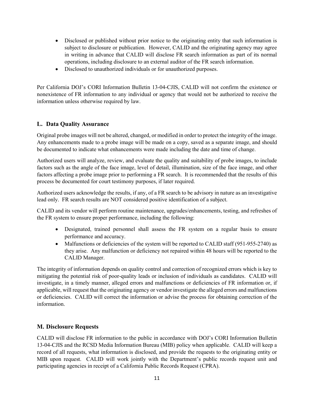- Disclosed or published without prior notice to the originating entity that such information is subject to disclosure or publication. However, CALID and the originating agency may agree in writing in advance that CALID will disclose FR search information as part of its normal operations, including disclosure to an external auditor of the FR search information.
- Disclosed to unauthorized individuals or for unauthorized purposes.

Per California DOJ's CORI Information Bulletin 13-04-CJIS, CALID will not confirm the existence or nonexistence of FR information to any individual or agency that would not be authorized to receive the information unless otherwise required by law.

#### **L. Data Quality Assurance**

Original probe images will not be altered, changed, or modified in order to protect the integrity of the image. Any enhancements made to a probe image will be made on a copy, saved as a separate image, and should be documented to indicate what enhancements were made including the date and time of change.

Authorized users will analyze, review, and evaluate the quality and suitability of probe images, to include factors such as the angle of the face image, level of detail, illumination, size of the face image, and other factors affecting a probe image prior to performing a FR search. It is recommended that the results of this process be documented for court testimony purposes, if later required.

Authorized users acknowledge the results, if any, of a FR search to be advisory in nature as an investigative lead only. FR search results are NOT considered positive identification of a subject.

CALID and its vendor will perform routine maintenance, upgrades/enhancements, testing, and refreshes of the FR system to ensure proper performance, including the following:

- Designated, trained personnel shall assess the FR system on a regular basis to ensure performance and accuracy.
- Malfunctions or deficiencies of the system will be reported to CALID staff (951-955-2740) as they arise. Any malfunction or deficiency not repaired within 48 hours will be reported to the CALID Manager.

The integrity of information depends on quality control and correction of recognized errors which is key to mitigating the potential risk of poor-quality leads or inclusion of individuals as candidates. CALID will investigate, in a timely manner, alleged errors and malfunctions or deficiencies of FR information or, if applicable, will request that the originating agency or vendor investigate the alleged errors and malfunctions or deficiencies. CALID will correct the information or advise the process for obtaining correction of the information.

#### **M. Disclosure Requests**

CALID will disclose FR information to the public in accordance with DOJ's CORI Information Bulletin 13-04-CJIS and the RCSD Media Information Bureau (MIB) policy when applicable. CALID will keep a record of all requests, what information is disclosed, and provide the requests to the originating entity or MIB upon request. CALID will work jointly with the Department's public records request unit and participating agencies in receipt of a California Public Records Request (CPRA).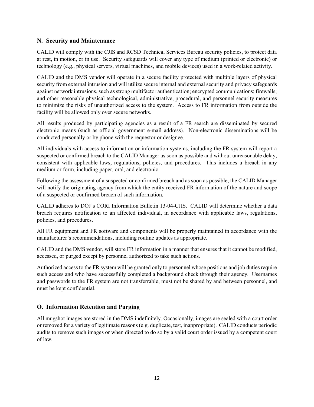#### **N. Security and Maintenance**

CALID will comply with the CJIS and RCSD Technical Services Bureau security policies, to protect data at rest, in motion, or in use. Security safeguards will cover any type of medium (printed or electronic) or technology (e.g., physical servers, virtual machines, and mobile devices) used in a work-related activity.

CALID and the DMS vendor will operate in a secure facility protected with multiple layers of physical security from external intrusion and will utilize secure internal and external security and privacy safeguards against network intrusions, such as strong multifactor authentication; encrypted communications; firewalls; and other reasonable physical technological, administrative, procedural, and personnel security measures to minimize the risks of unauthorized access to the system. Access to FR information from outside the facility will be allowed only over secure networks.

All results produced by participating agencies as a result of a FR search are disseminated by secured electronic means (such as official government e-mail address). Non-electronic disseminations will be conducted personally or by phone with the requestor or designee.

All individuals with access to information or information systems, including the FR system will report a suspected or confirmed breach to the CALID Manager as soon as possible and without unreasonable delay, consistent with applicable laws, regulations, policies, and procedures. This includes a breach in any medium or form, including paper, oral, and electronic.

Following the assessment of a suspected or confirmed breach and as soon as possible, the CALID Manager will notify the originating agency from which the entity received FR information of the nature and scope of a suspected or confirmed breach of such information.

CALID adheres to DOJ's CORI Information Bulletin 13-04-CJIS. CALID will determine whether a data breach requires notification to an affected individual, in accordance with applicable laws, regulations, policies, and procedures.

All FR equipment and FR software and components will be properly maintained in accordance with the manufacturer's recommendations, including routine updates as appropriate.

CALID and the DMS vendor, will store FR information in a manner that ensures that it cannot be modified, accessed, or purged except by personnel authorized to take such actions.

Authorized access to the FR system will be granted only to personnel whose positions and job duties require such access and who have successfully completed a background check through their agency. Usernames and passwords to the FR system are not transferrable, must not be shared by and between personnel, and must be kept confidential.

# **O. Information Retention and Purging**

All mugshot images are stored in the DMS indefinitely. Occasionally, images are sealed with a court order or removed for a variety of legitimate reasons (e.g. duplicate, test, inappropriate). CALID conducts periodic audits to remove such images or when directed to do so by a valid court order issued by a competent court of law.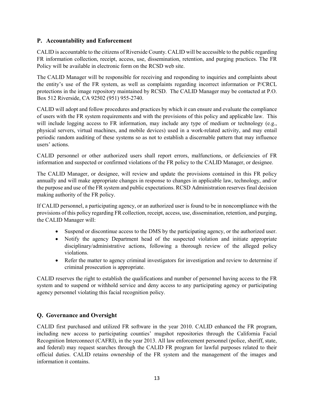# **P. Accountability and Enforcement**

CALID is accountable to the citizens of Riverside County. CALID will be accessible to the public regarding FR information collection, receipt, access, use, dissemination, retention, and purging practices. The FR Policy will be available in electronic form on the RCSD web site.

The CALID Manager will be responsible for receiving and responding to inquiries and complaints about the entity's use of the FR system, as well as complaints regarding incorrect information or P/CRCL protections in the image repository maintained by RCSD. The CALID Manager may be contacted at P.O. Box 512 Riverside, CA 92502 (951) 955-2740.

CALID will adopt and follow procedures and practices by which it can ensure and evaluate the compliance of users with the FR system requirements and with the provisions of this policy and applicable law. This will include logging access to FR information, may include any type of medium or technology (e.g., physical servers, virtual machines, and mobile devices) used in a work-related activity, and may entail periodic random auditing of these systems so as not to establish a discernable pattern that may influence users' actions.

CALID personnel or other authorized users shall report errors, malfunctions, or deficiencies of FR information and suspected or confirmed violations of the FR policy to the CALID Manager, or designee.

The CALID Manager, or designee, will review and update the provisions contained in this FR policy annually and will make appropriate changes in response to changes in applicable law, technology, and/or the purpose and use of the FR system and public expectations. RCSD Administration reserves final decision making authority of the FR policy.

If CALID personnel, a participating agency, or an authorized user is found to be in noncompliance with the provisions of this policy regarding FR collection, receipt, access, use, dissemination, retention, and purging, the CALID Manager will:

- Suspend or discontinue access to the DMS by the participating agency, or the authorized user.
- Notify the agency Department head of the suspected violation and initiate appropriate disciplinary/administrative actions, following a thorough review of the alleged policy violations.
- Refer the matter to agency criminal investigators for investigation and review to determine if criminal prosecution is appropriate.

CALID reserves the right to establish the qualifications and number of personnel having access to the FR system and to suspend or withhold service and deny access to any participating agency or participating agency personnel violating this facial recognition policy.

# **Q. Governance and Oversight**

CALID first purchased and utilized FR software in the year 2010. CALID enhanced the FR program, including new access to participating counties' mugshot repositories through the California Facial Recognition Interconnect (CAFRI), in the year 2013. All law enforcement personnel (police, sheriff, state, and federal) may request searches through the CALID FR program for lawful purposes related to their official duties. CALID retains ownership of the FR system and the management of the images and information it contains.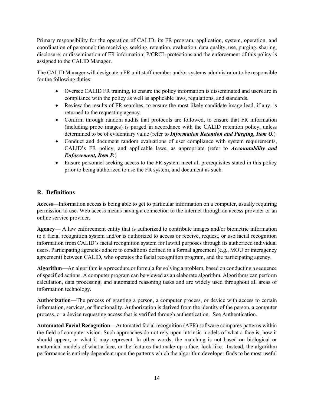Primary responsibility for the operation of CALID; its FR program, application, system, operation, and coordination of personnel; the receiving, seeking, retention, evaluation, data quality, use, purging, sharing, disclosure, or dissemination of FR information; P/CRCL protections and the enforcement of this policy is assigned to the CALID Manager.

The CALID Manager will designate a FR unit staff member and/or systems administrator to be responsible for the following duties:

- Oversee CALID FR training, to ensure the policy information is disseminated and users are in compliance with the policy as well as applicable laws, regulations, and standards.
- Review the results of FR searches, to ensure the most likely candidate image lead, if any, is returned to the requesting agency.
- Confirm through random audits that protocols are followed, to ensure that FR information (including probe images) is purged in accordance with the CALID retention policy, unless determined to be of evidentiary value (refer to *Information Retention and Purging, Item O.*)
- Conduct and document random evaluations of user compliance with system requirements, CALID's FR policy, and applicable laws, as appropriate (refer to *Accountability and Enforcement, Item P.*)
- Ensure personnel seeking access to the FR system meet all prerequisites stated in this policy prior to being authorized to use the FR system, and document as such.

# **R. Definitions**

**Access**—Information access is being able to get to particular information on a computer, usually requiring permission to use. Web access means having a connection to the internet through an access provider or an online service provider.

**Agency**— A law enforcement entity that is authorized to contribute images and/or biometric information to a facial recognition system and/or is authorized to access or receive, request, or use facial recognition information from CALID's facial recognition system for lawful purposes through its authorized individual users. Participating agencies adhere to conditions defined in a formal agreement (e.g., MOU or interagency agreement) between CALID, who operates the facial recognition program, and the participating agency.

**Algorithm**—An algorithm is a procedure or formula for solving a problem, based on conducting a sequence of specified actions. A computer [program](http://searchsoftwarequality.techtarget.com/definition/program) can be viewed as an elaborate algorithm. Algorithms can perform calculation, data processing, and automated reasoning tasks and are widely used throughout all areas of information technology.

**Authorization**—The process of granting a person, a computer process, or device with access to certain information, services, or functionality. Authorization is derived from the identity of the person, a computer process, or a device requesting access that is verified through authentication. See Authentication.

**Automated Facial Recognition**—Automated facial recognition (AFR) software compares patterns within the field of computer vision. Such approaches do not rely upon intrinsic models of what a face is, how it should appear, or what it may represent. In other words, the matching is not based on biological or anatomical models of what a face, or the features that make up a face, look like. Instead, the algorithm performance is entirely dependent upon the patterns which the algorithm developer finds to be most useful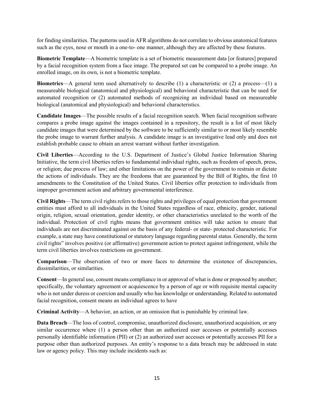for finding similarities. The patterns used in AFR algorithms do not correlate to obvious anatomical features such as the eyes, nose or mouth in a one-to- one manner, although they are affected by these features.

**Biometric Template**—A biometric template is a set of biometric measurement data [or features] prepared by a facial recognition system from a face image. The prepared set can be compared to a probe image. An enrolled image, on its own, is not a biometric template.

**Biometrics**—A general term used alternatively to describe (1) a characteristic or (2) a process—(1) a measureable biological (anatomical and physiological) and behavioral characteristic that can be used for automated recognition or (2) automated methods of recognizing an individual based on measureable biological (anatomical and physiological) and behavioral characteristics.

**Candidate Images**—The possible results of a facial recognition search. When facial recognition software compares a probe image against the images contained in a repository, the result is a list of most likely candidate images that were determined by the software to be sufficiently similar to or most likely resemble the probe image to warrant further analysis. A candidate image is an investigative lead only and does not establish probable cause to obtain an arrest warrant without further investigation.

**Civil Liberties**—According to the U.S. Department of Justice's Global Justice Information Sharing Initiative, the term civil liberties refers to fundamental individual rights, such as freedom of speech, press, or religion; due process of law; and other limitations on the power of the government to restrain or dictate the actions of individuals. They are the freedoms that are guaranteed by the Bill of Rights, the first 10 amendments to the Constitution of the United States. Civil liberties offer protection to individuals from improper government action and arbitrary governmental interference.

**Civil Rights**—The term civil rights refers to those rights and privileges of equal protection that government entities must afford to all individuals in the United States regardless of race, ethnicity, gender, national origin, religion, sexual orientation, gender identity, or other characteristics unrelated to the worth of the individual. Protection of civil rights means that government entities will take action to ensure that individuals are not discriminated against on the basis of any federal- or state- protected characteristic. For example, a state may have constitutional or statutory language regarding parental status. Generally, the term civil rights" involves positive (or affirmative) government action to protect against infringement, while the term civil liberties involves restrictions on government.

**Comparison**—The observation of two or more faces to determine the existence of discrepancies, dissimilarities, or similarities.

**Consent**—In general use, consent means compliance in or approval of what is done or proposed by another; specifically, the voluntary agreement or acquiescence by a person of age or with requisite mental capacity who is not under duress or coercion and usually who has knowledge or understanding. Related to automated facial recognition, consent means an individual agrees to have

**Criminal Activity**—A behavior, an action, or an omission that is punishable by criminal law.

**Data Breach—The loss of control, compromise, unauthorized disclosure, unauthorized acquisition, or any** similar occurrence where (1) a person other than an authorized user accesses or potentially accesses personally identifiable information (PII) or (2) an authorized user accesses or potentially accesses PII for a purpose other than authorized purposes. An entity's response to a data breach may be addressed in state law or agency policy. This may include incidents such as: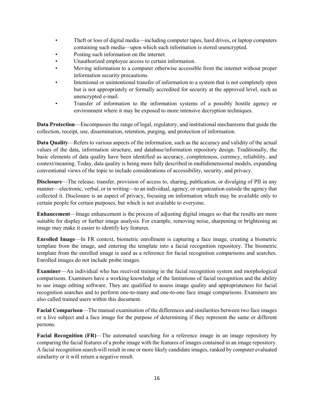- Theft or loss of digital media—including computer tapes, hard drives, or laptop computers containing such media—upon which such information is stored unencrypted.
- Posting such information on the internet.
- Unauthorized employee access to certain information.
- Moving information to a computer otherwise accessible from the internet without proper information security precautions.
- Intentional or unintentional transfer of information to a system that is not completely open but is not appropriately or formally accredited for security at the approved level, such as unencrypted e-mail.
- Transfer of information to the information systems of a possibly hostile agency or environment where it may be exposed to more intensive decryption techniques.

**Data Protection—Encompasses the range of legal, regulatory, and institutional mechanisms that guide the** collection, receipt, use, dissemination, retention, purging, and protection of information.

**Data Quality**—Refers to various aspects of the information, such as the accuracy and validity of the actual values of the data, information structure, and database/information repository design. Traditionally, the basic elements of data quality have been identified as accuracy, completeness, currency, reliability, and context/meaning. Today, data quality is being more fully described in multidimensional models, expanding conventional views of the topic to include considerations of accessibility, security, and privacy.

**Disclosure**—The release, transfer, provision of access to, sharing, publication, or divulging of PII in any manner—electronic, verbal, or in writing—to an individual, agency, or organization outside the agency that collected it. Disclosure is an aspect of privacy, focusing on information which may be available only to certain people for certain purposes, but which is not available to everyone.

**Enhancement**—Image enhancement is the process of adjusting digital images so that the results are more suitable for display or further image analysis. For example, removing noise, sharpening or brightening an image may make it easier to identify key features.

**Enrolled Image**—In FR context, biometric enrollment is capturing a face image, creating a biometric template from the image, and entering the template into a facial recognition repository. The biometric template from the enrolled image is used as a reference for facial recognition comparisons and searches. Enrolled images do not include probe images.

**Examiner**—An individual who has received training in the facial recognition system and morphological comparisons. Examiners have a working knowledge of the limitations of facial recognition and the ability to use image editing software. They are qualified to assess image quality and appropriateness for facial recognition searches and to perform one-to-many and one-to-one face image comparisons. Examiners are also called trained users within this document.

**Facial Comparison**—The manual examination of the differences and similarities between two face images or a live subject and a face image for the purpose of determining if they represent the same or different persons.

**Facial Recognition (FR)—The automated searching for a reference image in an image repository by** comparing the facial features of a probe image with the features of images contained in an image repository. A facial recognition search will result in one or more likely candidate images, ranked by computer evaluated similarity or it will return a negative result.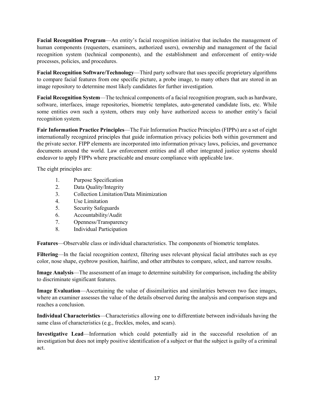**Facial Recognition Program**—An entity's facial recognition initiative that includes the management of human components (requesters, examiners, authorized users), ownership and management of the facial recognition system (technical components), and the establishment and enforcement of entity-wide processes, policies, and procedures.

**Facial Recognition Software/Technology**—Third party software that uses specific proprietary algorithms to compare facial features from one specific picture, a probe image, to many others that are stored in an image repository to determine most likely candidates for further investigation.

**Facial Recognition System**—The technical components of a facial recognition program, such as hardware, software, interfaces, image repositories, biometric templates, auto-generated candidate lists, etc. While some entities own such a system, others may only have authorized access to another entity's facial recognition system.

**Fair Information Practice Principles**—The Fair Information Practice Principles (FIPPs) are a set of eight internationally recognized principles that guide information privacy policies both within government and the private sector. FIPP elements are incorporated into information privacy laws, policies, and governance documents around the world. Law enforcement entities and all other integrated justice systems should endeavor to apply FIPPs where practicable and ensure compliance with applicable law.

The eight principles are:

- 1. Purpose Specification
- 2. Data Quality/Integrity
- 3. Collection Limitation/Data Minimization
- 4. Use Limitation
- 5. Security Safeguards
- 6. Accountability/Audit
- 7. Openness/Transparency
- 8. Individual Participation

**Features**—Observable class or individual characteristics. The components of biometric templates.

**Filtering**—In the facial recognition context, filtering uses relevant physical facial attributes such as eye color, nose shape, eyebrow position, hairline, and other attributes to compare, select, and narrow results.

**Image Analysis**—The assessment of an image to determine suitability for comparison, including the ability to discriminate significant features.

**Image Evaluation**—Ascertaining the value of dissimilarities and similarities between two face images, where an examiner assesses the value of the details observed during the analysis and comparison steps and reaches a conclusion.

**Individual Characteristics**—Characteristics allowing one to differentiate between individuals having the same class of characteristics (e.g., freckles, moles, and scars).

**Investigative Lead**—Information which could potentially aid in the successful resolution of an investigation but does not imply positive identification of a subject or that the subject is guilty of a criminal act.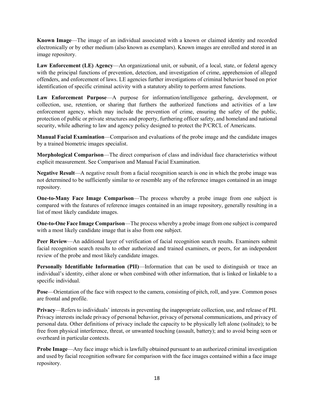**Known Image**—The image of an individual associated with a known or claimed identity and recorded electronically or by other medium (also known as exemplars). Known images are enrolled and stored in an image repository.

**Law Enforcement (LE) Agency**—An organizational unit, or subunit, of a local, state, or federal agency with the principal functions of prevention, detection, and investigation of crime, apprehension of alleged offenders, and enforcement of laws. LE agencies further investigations of criminal behavior based on prior identification of specific criminal activity with a statutory ability to perform arrest functions.

**Law Enforcement Purpose**—A purpose for information/intelligence gathering, development, or collection, use, retention, or sharing that furthers the authorized functions and activities of a law enforcement agency, which may include the prevention of crime, ensuring the safety of the public, protection of public or private structures and property, furthering officer safety, and homeland and national security, while adhering to law and agency policy designed to protect the P/CRCL of Americans.

**Manual Facial Examination**—Comparison and evaluations of the probe image and the candidate images by a trained biometric images specialist.

**Morphological Comparison**—The direct comparison of class and individual face characteristics without explicit measurement. See Comparison and Manual Facial Examination.

**Negative Result**—A negative result from a facial recognition search is one in which the probe image was not determined to be sufficiently similar to or resemble any of the reference images contained in an image repository.

**One-to-Many Face Image Comparison**—The process whereby a probe image from one subject is compared with the features of reference images contained in an image repository, generally resulting in a list of most likely candidate images.

**One-to-One Face Image Comparison**—The process whereby a probe image from one subject is compared with a most likely candidate image that is also from one subject.

**Peer Review**—An additional layer of verification of facial recognition search results. Examiners submit facial recognition search results to other authorized and trained examiners, or peers, for an independent review of the probe and most likely candidate images.

**Personally Identifiable Information (PII)**—Information that can be used to distinguish or trace an individual's identity, either alone or when combined with other information, that is linked or linkable to a specific individual.

**Pose**—Orientation of the face with respect to the camera, consisting of pitch, roll, and yaw. Common poses are frontal and profile.

**Privacy**—Refers to individuals' interests in preventing the inappropriate collection, use, and release of PII. Privacy interests include privacy of personal behavior, privacy of personal communications, and privacy of personal data. Other definitions of privacy include the capacity to be physically left alone (solitude); to be free from physical interference, threat, or unwanted touching (assault, battery); and to avoid being seen or overheard in particular contexts.

**Probe Image—Any face image which is lawfully obtained pursuant to an authorized criminal investigation** and used by facial recognition software for comparison with the face images contained within a face image repository.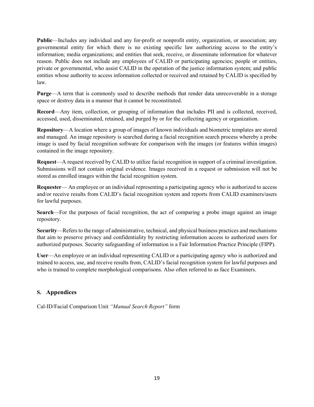**Public**—Includes any individual and any for-profit or nonprofit entity, organization, or association; any governmental entity for which there is no existing specific law authorizing access to the entity's information; media organizations; and entities that seek, receive, or disseminate information for whatever reason. Public does not include any employees of CALID or participating agencies; people or entities, private or governmental, who assist CALID in the operation of the justice information system; and public entities whose authority to access information collected or received and retained by CALID is specified by law.

**Purge**—A term that is commonly used to describe methods that render data unrecoverable in a storage space or destroy data in a manner that it cannot be reconstituted.

**Record**—Any item, collection, or grouping of information that includes PII and is collected, received, accessed, used, disseminated, retained, and purged by or for the collecting agency or organization.

**Repository**—A location where a group of images of known individuals and biometric templates are stored and managed. An image repository is searched during a facial recognition search process whereby a probe image is used by facial recognition software for comparison with the images (or features within images) contained in the image repository.

**Request**—A request received by CALID to utilize facial recognition in support of a criminal investigation. Submissions will not contain original evidence. Images received in a request or submission will not be stored as enrolled images within the facial recognition system.

**Requester—** An employee or an individual representing a participating agency who is authorized to access and/or receive results from CALID's facial recognition system and reports from CALID examiners/users for lawful purposes.

**Search**—For the purposes of facial recognition, the act of comparing a probe image against an image repository.

**Security**—Refers to the range of administrative, technical, and physical business practices and mechanisms that aim to preserve privacy and confidentiality by restricting information access to authorized users for authorized purposes. Security safeguarding of information is a Fair Information Practice Principle (FIPP).

**User**—An employee or an individual representing CALID or a participating agency who is authorized and trained to access, use, and receive results from, CALID's facial recognition system for lawful purposes and who is trained to complete morphological comparisons. Also often referred to as face Examiners.

# **S. Appendices**

Cal-ID/Facial Comparison Unit *"Manual Search Report"* form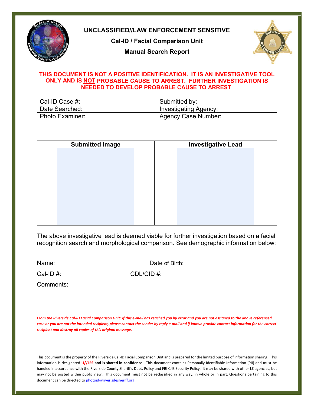

# **UNCLASSIFIED//LAW ENFORCEMENT SENSITIVE**

**Cal-ID / Facial Comparison Unit**

**Manual Search Report**



#### **THIS DOCUMENT IS NOT A POSITIVE IDENTIFICATION. IT IS AN INVESTIGATIVE TOOL ONLY AND IS NOT PROBABLE CAUSE TO ARREST. FURTHER INVESTIGATION IS NEEDED TO DEVELOP PROBABLE CAUSE TO ARREST**.

| Cal-ID Case #:    | Submitted by:                |
|-------------------|------------------------------|
| Date Searched:    | <b>Investigating Agency:</b> |
| l Photo Examiner: | Agency Case Number:          |

| <b>Submitted Image</b> | <b>Investigative Lead</b> |  |
|------------------------|---------------------------|--|
|                        |                           |  |
|                        |                           |  |
|                        |                           |  |
|                        |                           |  |
|                        |                           |  |
|                        |                           |  |
|                        |                           |  |
|                        |                           |  |

The above investigative lead is deemed viable for further investigation based on a facial recognition search and morphological comparison. See demographic information below:

Name: **Name: Date of Birth:** 

Cal-ID #: CDL/CID #:

Comments:

*From the Riverside Cal-ID Facial Comparison Unit: If this e-mail has reached you by error and you are not assigned to the above referenced case or you are not the intended recipient, please contact the sender by reply e-mail and if known provide contact information for the correct recipient and destroy all copies of this original message.*

This document is the property of the Riverside Cal-ID Facial Comparison Unit and is prepared for the limited purpose of information sharing. This information is designated **U//LES and is shared in confidence**. This document contains Personally Identifiable Information (PII) and must be handled in accordance with the Riverside County Sheriff's Dept. Policy and FBI CJIS Security Policy. It may be shared with other LE agencies, but may not be posted within public view. This document must not be reclassified in any way, in whole or in part. Questions pertaining to this document can be directed to **photoid@riverisdesheriff.org**.